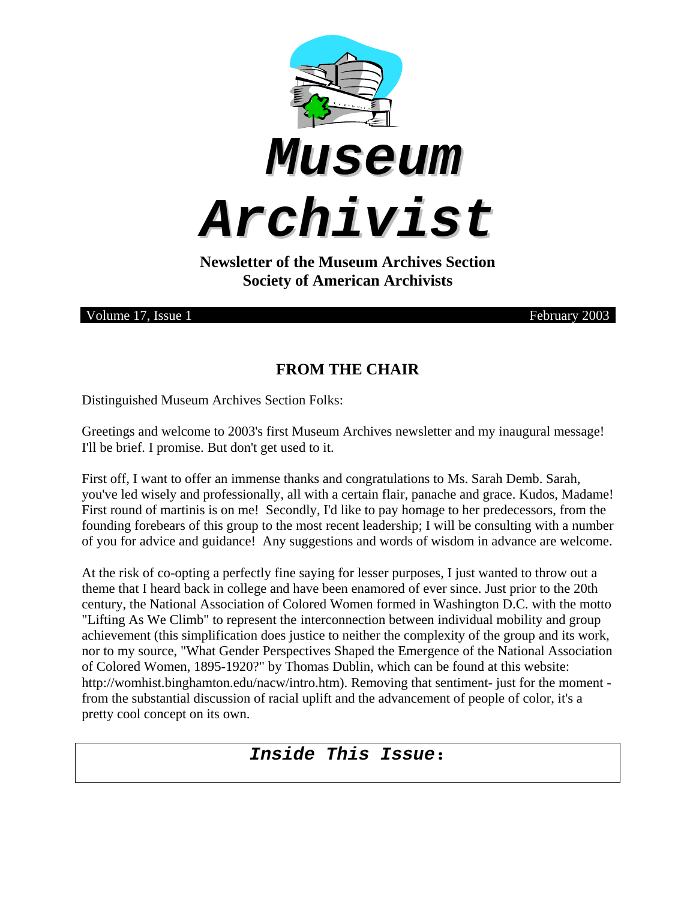





**Newsletter of the Museum Archives Section Society of American Archivists** 

Volume 17, Issue 1 February 2003

## **FROM THE CHAIR**

Distinguished Museum Archives Section Folks:

Greetings and welcome to 2003's first Museum Archives newsletter and my inaugural message! I'll be brief. I promise. But don't get used to it.

First off, I want to offer an immense thanks and congratulations to Ms. Sarah Demb. Sarah, you've led wisely and professionally, all with a certain flair, panache and grace. Kudos, Madame! First round of martinis is on me! Secondly, I'd like to pay homage to her predecessors, from the founding forebears of this group to the most recent leadership; I will be consulting with a number of you for advice and guidance! Any suggestions and words of wisdom in advance are welcome.

At the risk of co-opting a perfectly fine saying for lesser purposes, I just wanted to throw out a theme that I heard back in college and have been enamored of ever since. Just prior to the 20th century, the National Association of Colored Women formed in Washington D.C. with the motto "Lifting As We Climb" to represent the interconnection between individual mobility and group achievement (this simplification does justice to neither the complexity of the group and its work, nor to my source, "What Gender Perspectives Shaped the Emergence of the National Association of Colored Women, 1895-1920?" by Thomas Dublin, which can be found at this website: http://womhist.binghamton.edu/nacw/intro.htm). Removing that sentiment- just for the moment from the substantial discussion of racial uplift and the advancement of people of color, it's a pretty cool concept on its own.

# *Inside This Issue***:**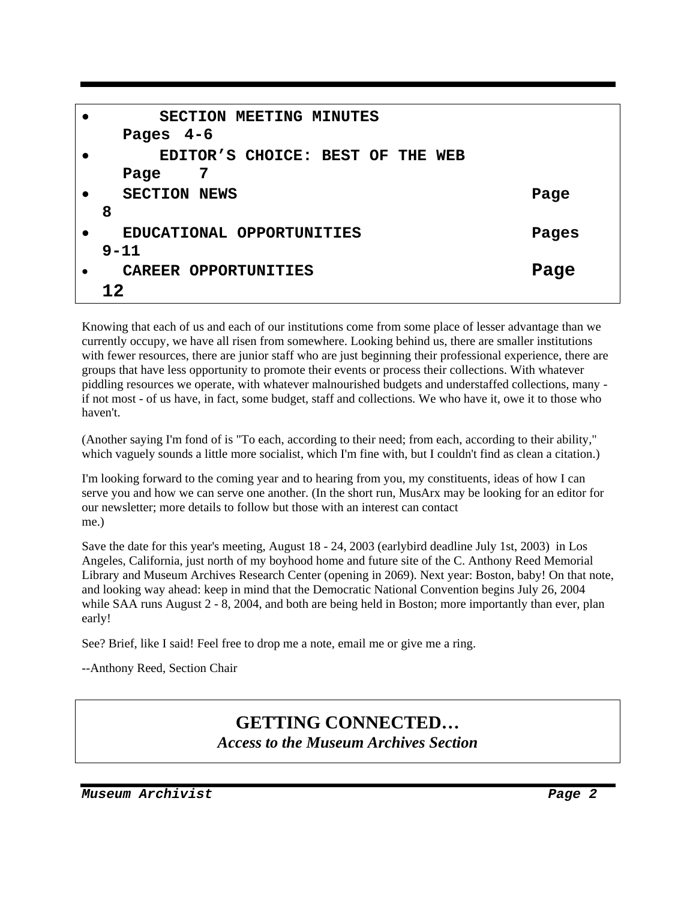|           | SECTION MEETING MINUTES<br>Pages $4-6$ |       |
|-----------|----------------------------------------|-------|
|           |                                        |       |
|           | EDITOR'S CHOICE: BEST OF THE WEB       |       |
|           | 7<br>Page                              |       |
|           | <b>SECTION NEWS</b>                    | Page  |
|           | 8                                      |       |
| $\bullet$ | EDUCATIONAL OPPORTUNITIES              | Pages |
|           | $9 - 11$                               |       |
|           | CAREER OPPORTUNITIES                   | Page  |
|           | 12.                                    |       |

Knowing that each of us and each of our institutions come from some place of lesser advantage than we currently occupy, we have all risen from somewhere. Looking behind us, there are smaller institutions with fewer resources, there are junior staff who are just beginning their professional experience, there are groups that have less opportunity to promote their events or process their collections. With whatever piddling resources we operate, with whatever malnourished budgets and understaffed collections, many if not most - of us have, in fact, some budget, staff and collections. We who have it, owe it to those who haven't.

(Another saying I'm fond of is "To each, according to their need; from each, according to their ability," which vaguely sounds a little more socialist, which I'm fine with, but I couldn't find as clean a citation.)

I'm looking forward to the coming year and to hearing from you, my constituents, ideas of how I can serve you and how we can serve one another. (In the short run, MusArx may be looking for an editor for our newsletter; more details to follow but those with an interest can contact me.)

Save the date for this year's meeting, August 18 - 24, 2003 (earlybird deadline July 1st, 2003) in Los Angeles, California, just north of my boyhood home and future site of the C. Anthony Reed Memorial Library and Museum Archives Research Center (opening in 2069). Next year: Boston, baby! On that note, and looking way ahead: keep in mind that the Democratic National Convention begins July 26, 2004 while SAA runs August 2 - 8, 2004, and both are being held in Boston; more importantly than ever, plan early!

See? Brief, like I said! Feel free to drop me a note, email me or give me a ring.

--Anthony Reed, Section Chair

# **GETTING CONNECTED…**  *Access to the Museum Archives Section*

*Museum Archivist Page 2*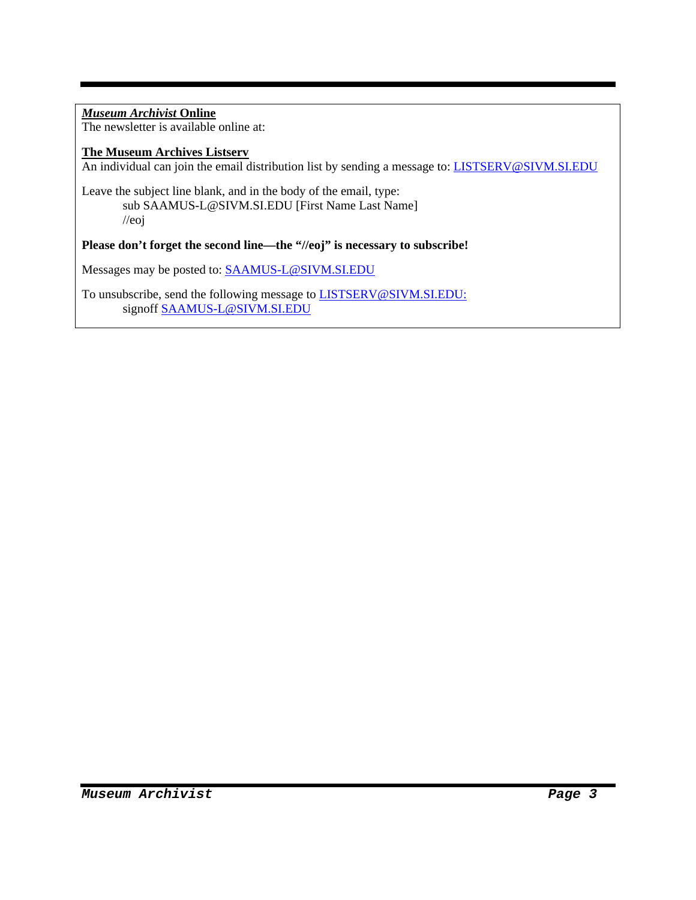#### *Museum Archivist* **Online** The newsletter is available online at:

#### **The Museum Archives Listserv**

An individual can join the email distribution list by sending a message to: LISTSERV@SIVM.SI.EDU

Leave the subject line blank, and in the body of the email, type: sub SAAMUS-L@SIVM.SI.EDU [First Name Last Name] //eoj

#### **Please don't forget the second line—the "//eoj" is necessary to subscribe!**

Messages may be posted to: SAAMUS-L@SIVM.SI.EDU

To unsubscribe, send the following message to LISTSERV@SIVM.SI.EDU: signoff SAAMUS-L@SIVM.SI.EDU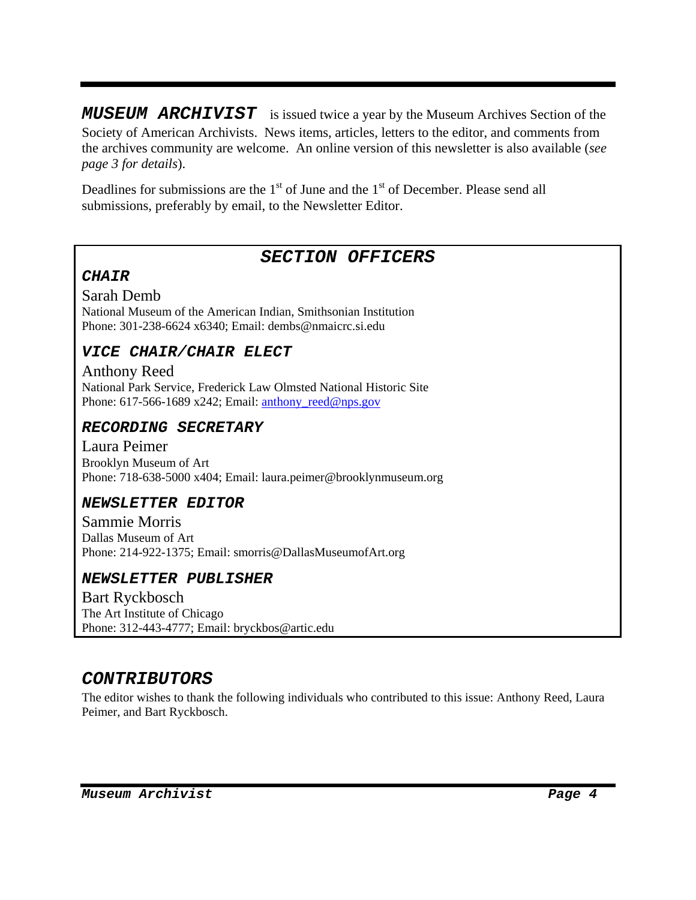*MUSEUM ARCHIVIST* is issued twice a year by the Museum Archives Section of the Society of American Archivists. News items, articles, letters to the editor, and comments from the archives community are welcome. An online version of this newsletter is also available (*see page 3 for details*).

Deadlines for submissions are the  $1<sup>st</sup>$  of June and the  $1<sup>st</sup>$  of December. Please send all submissions, preferably by email, to the Newsletter Editor.

## *SECTION OFFICERS*

### *CHAIR*

Sarah Demb National Museum of the American Indian, Smithsonian Institution Phone: 301-238-6624 x6340; Email: dembs@nmaicrc.si.edu

## *VICE CHAIR/CHAIR ELECT*

Anthony Reed National Park Service, Frederick Law Olmsted National Historic Site Phone: 617-566-1689 x242; Email: anthony\_reed@nps.gov

### *RECORDING SECRETARY*

Laura Peimer Brooklyn Museum of Art Phone: 718-638-5000 x404; Email: laura.peimer@brooklynmuseum.org

### *NEWSLETTER EDITOR*

Sammie Morris Dallas Museum of Art Phone: 214-922-1375; Email: smorris@DallasMuseumofArt.org

### *NEWSLETTER PUBLISHER*

Bart Ryckbosch The Art Institute of Chicago Phone: 312-443-4777; Email: bryckbos@artic.edu

## *CONTRIBUTORS*

The editor wishes to thank the following individuals who contributed to this issue: Anthony Reed, Laura Peimer, and Bart Ryckbosch.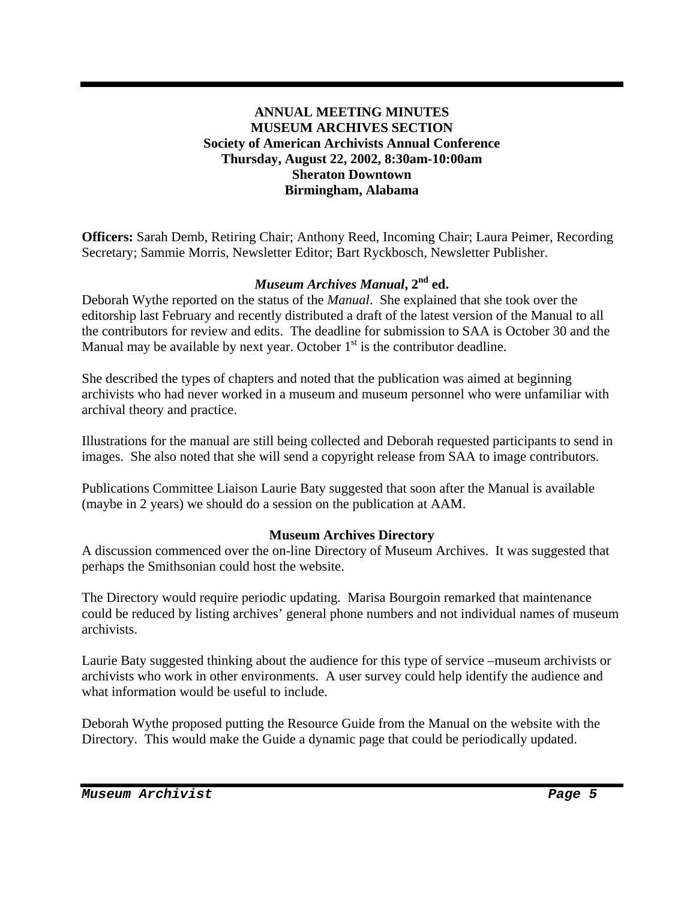#### **ANNUAL MEETING MINUTES MUSEUM ARCHIVES SECTION Society of American Archivists Annual Conference Thursday, August 22, 2002, 8:30am-10:00am Sheraton Downtown Birmingham, Alabama**

**Officers:** Sarah Demb, Retiring Chair; Anthony Reed, Incoming Chair; Laura Peimer, Recording Secretary; Sammie Morris, Newsletter Editor; Bart Ryckbosch, Newsletter Publisher.

### *Museum Archives Manual*,  $2^{nd}$  ed.

Deborah Wythe reported on the status of the *Manual*. She explained that she took over the editorship last February and recently distributed a draft of the latest version of the Manual to all the contributors for review and edits. The deadline for submission to SAA is October 30 and the Manual may be available by next year. October  $1<sup>st</sup>$  is the contributor deadline.

She described the types of chapters and noted that the publication was aimed at beginning archivists who had never worked in a museum and museum personnel who were unfamiliar with archival theory and practice.

Illustrations for the manual are still being collected and Deborah requested participants to send in images. She also noted that she will send a copyright release from SAA to image contributors.

Publications Committee Liaison Laurie Baty suggested that soon after the Manual is available (maybe in 2 years) we should do a session on the publication at AAM.

#### **Museum Archives Directory**

A discussion commenced over the on-line Directory of Museum Archives. It was suggested that perhaps the Smithsonian could host the website.

The Directory would require periodic updating. Marisa Bourgoin remarked that maintenance could be reduced by listing archives' general phone numbers and not individual names of museum archivists.

Laurie Baty suggested thinking about the audience for this type of service –museum archivists or archivists who work in other environments. A user survey could help identify the audience and what information would be useful to include.

Deborah Wythe proposed putting the Resource Guide from the Manual on the website with the Directory. This would make the Guide a dynamic page that could be periodically updated.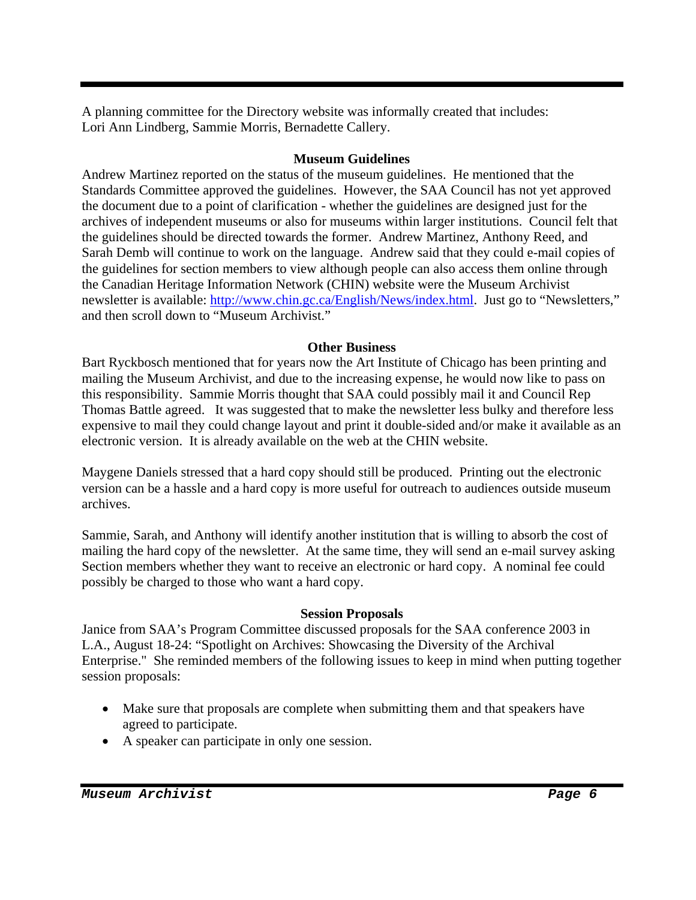A planning committee for the Directory website was informally created that includes: Lori Ann Lindberg, Sammie Morris, Bernadette Callery.

#### **Museum Guidelines**

Andrew Martinez reported on the status of the museum guidelines. He mentioned that the Standards Committee approved the guidelines. However, the SAA Council has not yet approved the document due to a point of clarification - whether the guidelines are designed just for the archives of independent museums or also for museums within larger institutions. Council felt that the guidelines should be directed towards the former. Andrew Martinez, Anthony Reed, and Sarah Demb will continue to work on the language. Andrew said that they could e-mail copies of the guidelines for section members to view although people can also access them online through the Canadian Heritage Information Network (CHIN) website were the Museum Archivist newsletter is available: http://www.chin.gc.ca/English/News/index.html. Just go to "Newsletters," and then scroll down to "Museum Archivist."

### **Other Business**

Bart Ryckbosch mentioned that for years now the Art Institute of Chicago has been printing and mailing the Museum Archivist, and due to the increasing expense, he would now like to pass on this responsibility. Sammie Morris thought that SAA could possibly mail it and Council Rep Thomas Battle agreed. It was suggested that to make the newsletter less bulky and therefore less expensive to mail they could change layout and print it double-sided and/or make it available as an electronic version. It is already available on the web at the CHIN website.

Maygene Daniels stressed that a hard copy should still be produced. Printing out the electronic version can be a hassle and a hard copy is more useful for outreach to audiences outside museum archives.

Sammie, Sarah, and Anthony will identify another institution that is willing to absorb the cost of mailing the hard copy of the newsletter. At the same time, they will send an e-mail survey asking Section members whether they want to receive an electronic or hard copy. A nominal fee could possibly be charged to those who want a hard copy.

#### **Session Proposals**

Janice from SAA's Program Committee discussed proposals for the SAA conference 2003 in L.A., August 18-24: "Spotlight on Archives: Showcasing the Diversity of the Archival Enterprise." She reminded members of the following issues to keep in mind when putting together session proposals:

- Make sure that proposals are complete when submitting them and that speakers have agreed to participate.
- A speaker can participate in only one session.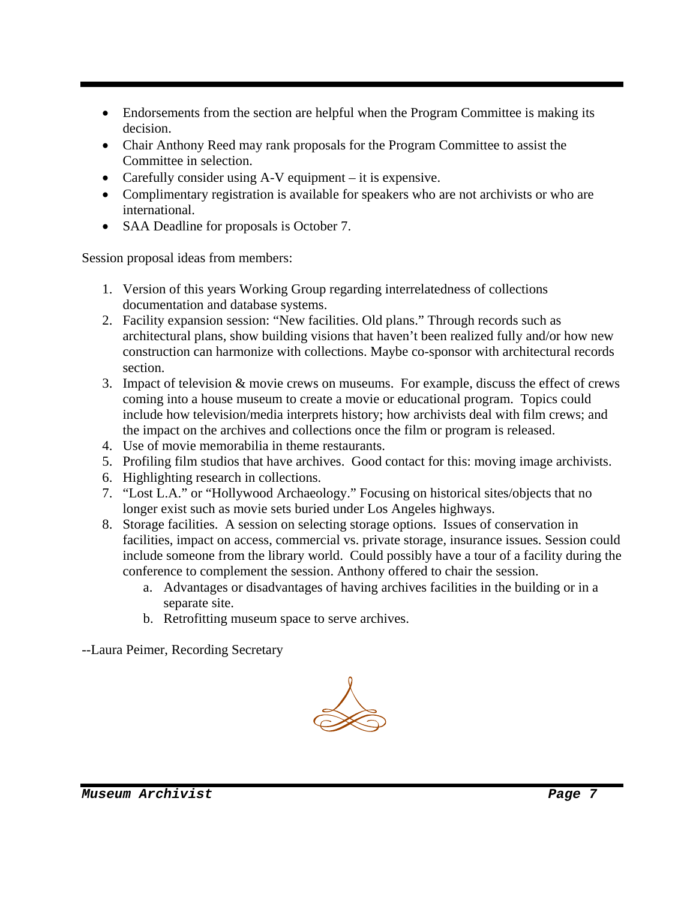- Endorsements from the section are helpful when the Program Committee is making its decision.
- Chair Anthony Reed may rank proposals for the Program Committee to assist the Committee in selection.
- Carefully consider using A-V equipment it is expensive.
- Complimentary registration is available for speakers who are not archivists or who are international.
- SAA Deadline for proposals is October 7.

Session proposal ideas from members:

- 1. Version of this years Working Group regarding interrelatedness of collections documentation and database systems.
- 2. Facility expansion session: "New facilities. Old plans." Through records such as architectural plans, show building visions that haven't been realized fully and/or how new construction can harmonize with collections. Maybe co-sponsor with architectural records section.
- 3. Impact of television & movie crews on museums. For example, discuss the effect of crews coming into a house museum to create a movie or educational program. Topics could include how television/media interprets history; how archivists deal with film crews; and the impact on the archives and collections once the film or program is released.
- 4. Use of movie memorabilia in theme restaurants.
- 5. Profiling film studios that have archives. Good contact for this: moving image archivists.
- 6. Highlighting research in collections.
- 7. "Lost L.A." or "Hollywood Archaeology." Focusing on historical sites/objects that no longer exist such as movie sets buried under Los Angeles highways.
- 8. Storage facilities. A session on selecting storage options. Issues of conservation in facilities, impact on access, commercial vs. private storage, insurance issues. Session could include someone from the library world. Could possibly have a tour of a facility during the conference to complement the session. Anthony offered to chair the session.
	- a. Advantages or disadvantages of having archives facilities in the building or in a separate site.
	- b. Retrofitting museum space to serve archives.

--Laura Peimer, Recording Secretary

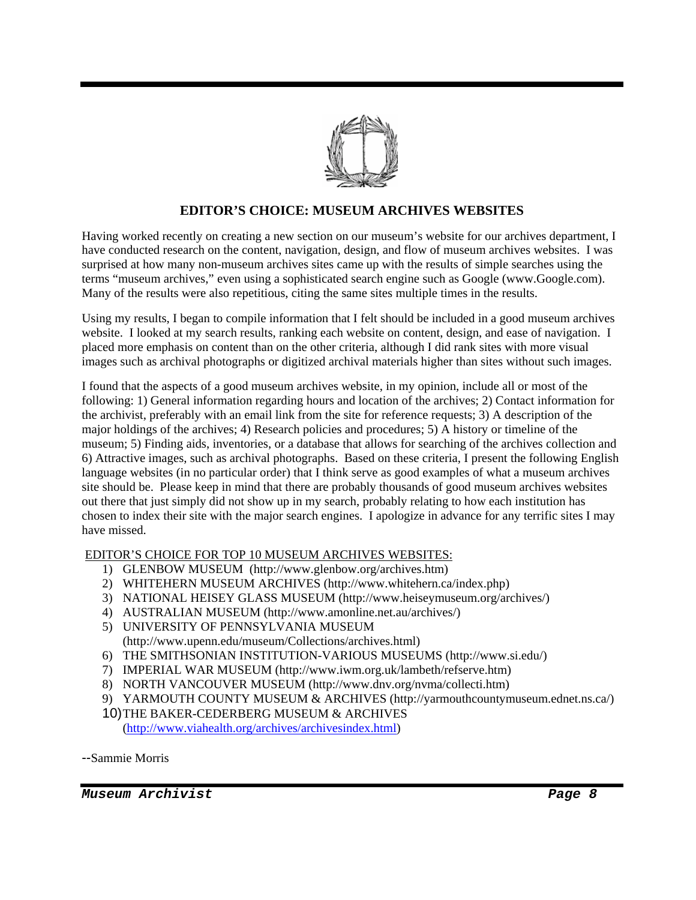

#### **EDITOR'S CHOICE: MUSEUM ARCHIVES WEBSITES**

Having worked recently on creating a new section on our museum's website for our archives department, I have conducted research on the content, navigation, design, and flow of museum archives websites. I was surprised at how many non-museum archives sites came up with the results of simple searches using the terms "museum archives," even using a sophisticated search engine such as Google (www.Google.com). Many of the results were also repetitious, citing the same sites multiple times in the results.

Using my results, I began to compile information that I felt should be included in a good museum archives website. I looked at my search results, ranking each website on content, design, and ease of navigation. I placed more emphasis on content than on the other criteria, although I did rank sites with more visual images such as archival photographs or digitized archival materials higher than sites without such images.

I found that the aspects of a good museum archives website, in my opinion, include all or most of the following: 1) General information regarding hours and location of the archives; 2) Contact information for the archivist, preferably with an email link from the site for reference requests; 3) A description of the major holdings of the archives; 4) Research policies and procedures; 5) A history or timeline of the museum; 5) Finding aids, inventories, or a database that allows for searching of the archives collection and 6) Attractive images, such as archival photographs. Based on these criteria, I present the following English language websites (in no particular order) that I think serve as good examples of what a museum archives site should be. Please keep in mind that there are probably thousands of good museum archives websites out there that just simply did not show up in my search, probably relating to how each institution has chosen to index their site with the major search engines. I apologize in advance for any terrific sites I may have missed.

#### EDITOR'S CHOICE FOR TOP 10 MUSEUM ARCHIVES WEBSITES:

- 1) GLENBOW MUSEUM (http://www.glenbow.org/archives.htm)
- 2) WHITEHERN MUSEUM ARCHIVES (http://www.whitehern.ca/index.php)
- 3) NATIONAL HEISEY GLASS MUSEUM (http://www.heiseymuseum.org/archives/)
- 4) AUSTRALIAN MUSEUM (http://www.amonline.net.au/archives/)
- 5) UNIVERSITY OF PENNSYLVANIA MUSEUM (http://www.upenn.edu/museum/Collections/archives.html)
- 6) THE SMITHSONIAN INSTITUTION-VARIOUS MUSEUMS (http://www.si.edu/)
- 7) IMPERIAL WAR MUSEUM (http://www.iwm.org.uk/lambeth/refserve.htm)
- 8) NORTH VANCOUVER MUSEUM (http://www.dnv.org/nvma/collecti.htm)
- 9) YARMOUTH COUNTY MUSEUM & ARCHIVES (http://yarmouthcountymuseum.ednet.ns.ca/)
- 10) THE BAKER-CEDERBERG MUSEUM & ARCHIVES (http://www.viahealth.org/archives/archivesindex.html)

--Sammie Morris

*Museum Archivist Page 8*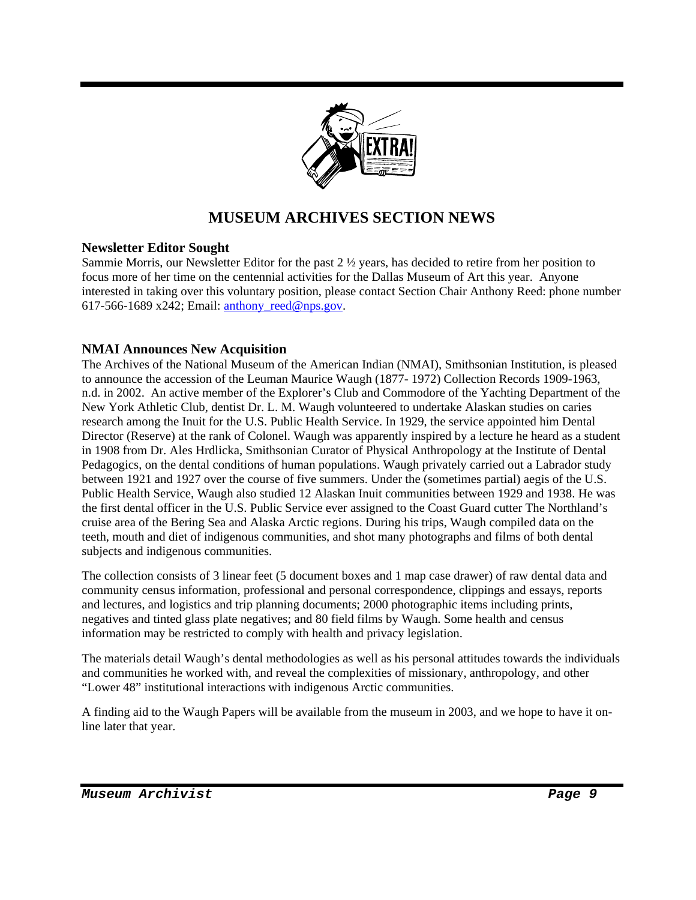

# **MUSEUM ARCHIVES SECTION NEWS**

#### **Newsletter Editor Sought**

Sammie Morris, our Newsletter Editor for the past 2 ½ years, has decided to retire from her position to focus more of her time on the centennial activities for the Dallas Museum of Art this year. Anyone interested in taking over this voluntary position, please contact Section Chair Anthony Reed: phone number 617-566-1689 x242; Email: anthony reed@nps.gov.

#### **NMAI Announces New Acquisition**

The Archives of the National Museum of the American Indian (NMAI), Smithsonian Institution, is pleased to announce the accession of the Leuman Maurice Waugh (1877- 1972) Collection Records 1909-1963, n.d. in 2002. An active member of the Explorer's Club and Commodore of the Yachting Department of the New York Athletic Club, dentist Dr. L. M. Waugh volunteered to undertake Alaskan studies on caries research among the Inuit for the U.S. Public Health Service. In 1929, the service appointed him Dental Director (Reserve) at the rank of Colonel. Waugh was apparently inspired by a lecture he heard as a student in 1908 from Dr. Ales Hrdlicka, Smithsonian Curator of Physical Anthropology at the Institute of Dental Pedagogics, on the dental conditions of human populations. Waugh privately carried out a Labrador study between 1921 and 1927 over the course of five summers. Under the (sometimes partial) aegis of the U.S. Public Health Service, Waugh also studied 12 Alaskan Inuit communities between 1929 and 1938. He was the first dental officer in the U.S. Public Service ever assigned to the Coast Guard cutter The Northland's cruise area of the Bering Sea and Alaska Arctic regions. During his trips, Waugh compiled data on the teeth, mouth and diet of indigenous communities, and shot many photographs and films of both dental subjects and indigenous communities.

The collection consists of 3 linear feet (5 document boxes and 1 map case drawer) of raw dental data and community census information, professional and personal correspondence, clippings and essays, reports and lectures, and logistics and trip planning documents; 2000 photographic items including prints, negatives and tinted glass plate negatives; and 80 field films by Waugh. Some health and census information may be restricted to comply with health and privacy legislation.

The materials detail Waugh's dental methodologies as well as his personal attitudes towards the individuals and communities he worked with, and reveal the complexities of missionary, anthropology, and other "Lower 48" institutional interactions with indigenous Arctic communities.

A finding aid to the Waugh Papers will be available from the museum in 2003, and we hope to have it online later that year.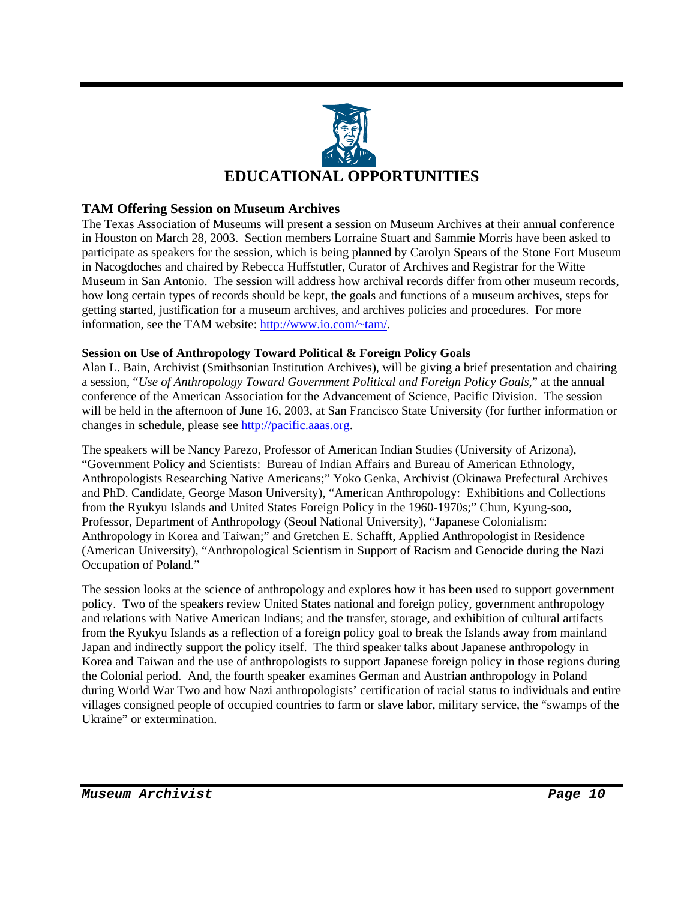

#### **TAM Offering Session on Museum Archives**

The Texas Association of Museums will present a session on Museum Archives at their annual conference in Houston on March 28, 2003. Section members Lorraine Stuart and Sammie Morris have been asked to participate as speakers for the session, which is being planned by Carolyn Spears of the Stone Fort Museum in Nacogdoches and chaired by Rebecca Huffstutler, Curator of Archives and Registrar for the Witte Museum in San Antonio. The session will address how archival records differ from other museum records, how long certain types of records should be kept, the goals and functions of a museum archives, steps for getting started, justification for a museum archives, and archives policies and procedures. For more information, see the TAM website: http://www.io.com/~tam/.

#### **Session on Use of Anthropology Toward Political & Foreign Policy Goals**

Alan L. Bain, Archivist (Smithsonian Institution Archives), will be giving a brief presentation and chairing a session, "*Use of Anthropology Toward Government Political and Foreign Policy Goals*," at the annual conference of the American Association for the Advancement of Science, Pacific Division. The session will be held in the afternoon of June 16, 2003, at San Francisco State University (for further information or changes in schedule, please see http://pacific.aaas.org.

The speakers will be Nancy Parezo, Professor of American Indian Studies (University of Arizona), "Government Policy and Scientists: Bureau of Indian Affairs and Bureau of American Ethnology, Anthropologists Researching Native Americans;" Yoko Genka, Archivist (Okinawa Prefectural Archives and PhD. Candidate, George Mason University), "American Anthropology: Exhibitions and Collections from the Ryukyu Islands and United States Foreign Policy in the 1960-1970s;" Chun, Kyung-soo, Professor, Department of Anthropology (Seoul National University), "Japanese Colonialism: Anthropology in Korea and Taiwan;" and Gretchen E. Schafft, Applied Anthropologist in Residence (American University), "Anthropological Scientism in Support of Racism and Genocide during the Nazi Occupation of Poland."

The session looks at the science of anthropology and explores how it has been used to support government policy. Two of the speakers review United States national and foreign policy, government anthropology and relations with Native American Indians; and the transfer, storage, and exhibition of cultural artifacts from the Ryukyu Islands as a reflection of a foreign policy goal to break the Islands away from mainland Japan and indirectly support the policy itself. The third speaker talks about Japanese anthropology in Korea and Taiwan and the use of anthropologists to support Japanese foreign policy in those regions during the Colonial period. And, the fourth speaker examines German and Austrian anthropology in Poland during World War Two and how Nazi anthropologists' certification of racial status to individuals and entire villages consigned people of occupied countries to farm or slave labor, military service, the "swamps of the Ukraine" or extermination.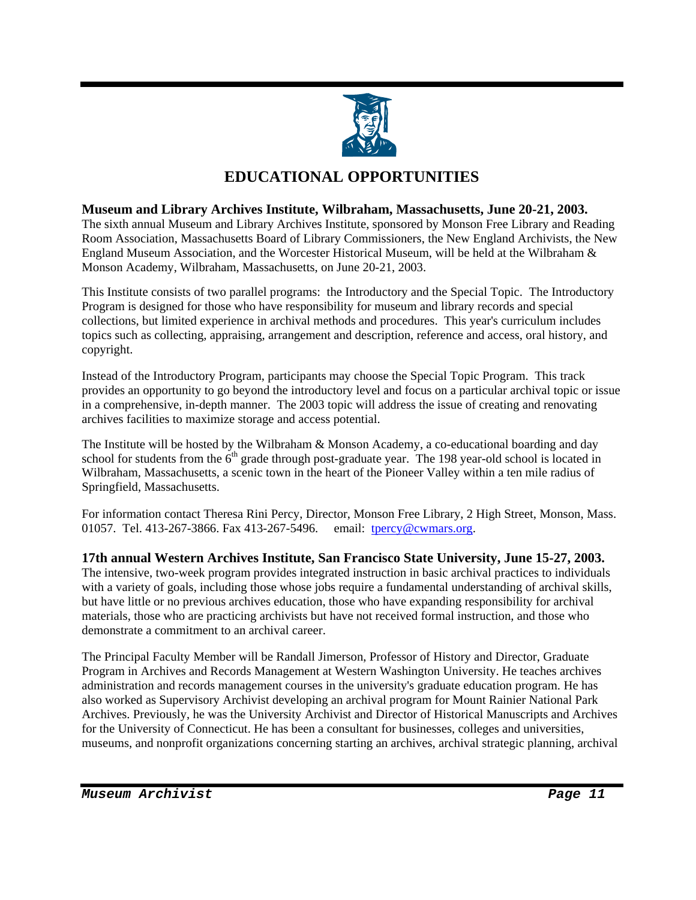

## **EDUCATIONAL OPPORTUNITIES**

#### **Museum and Library Archives Institute, Wilbraham, Massachusetts, June 20-21, 2003.**

The sixth annual Museum and Library Archives Institute, sponsored by Monson Free Library and Reading Room Association, Massachusetts Board of Library Commissioners, the New England Archivists, the New England Museum Association, and the Worcester Historical Museum, will be held at the Wilbraham & Monson Academy, Wilbraham, Massachusetts, on June 20-21, 2003.

This Institute consists of two parallel programs: the Introductory and the Special Topic. The Introductory Program is designed for those who have responsibility for museum and library records and special collections, but limited experience in archival methods and procedures. This year's curriculum includes topics such as collecting, appraising, arrangement and description, reference and access, oral history, and copyright.

Instead of the Introductory Program, participants may choose the Special Topic Program. This track provides an opportunity to go beyond the introductory level and focus on a particular archival topic or issue in a comprehensive, in-depth manner. The 2003 topic will address the issue of creating and renovating archives facilities to maximize storage and access potential.

The Institute will be hosted by the Wilbraham & Monson Academy, a co-educational boarding and day school for students from the  $6<sup>th</sup>$  grade through post-graduate year. The 198 year-old school is located in Wilbraham, Massachusetts, a scenic town in the heart of the Pioneer Valley within a ten mile radius of Springfield, Massachusetts.

For information contact Theresa Rini Percy, Director, Monson Free Library, 2 High Street, Monson, Mass. 01057. Tel. 413-267-3866. Fax 413-267-5496. email: tpercy@cwmars.org.

**17th annual Western Archives Institute, San Francisco State University, June 15-27, 2003.** The intensive, two-week program provides integrated instruction in basic archival practices to individuals with a variety of goals, including those whose jobs require a fundamental understanding of archival skills, but have little or no previous archives education, those who have expanding responsibility for archival materials, those who are practicing archivists but have not received formal instruction, and those who demonstrate a commitment to an archival career.

The Principal Faculty Member will be Randall Jimerson, Professor of History and Director, Graduate Program in Archives and Records Management at Western Washington University. He teaches archives administration and records management courses in the university's graduate education program. He has also worked as Supervisory Archivist developing an archival program for Mount Rainier National Park Archives. Previously, he was the University Archivist and Director of Historical Manuscripts and Archives for the University of Connecticut. He has been a consultant for businesses, colleges and universities, museums, and nonprofit organizations concerning starting an archives, archival strategic planning, archival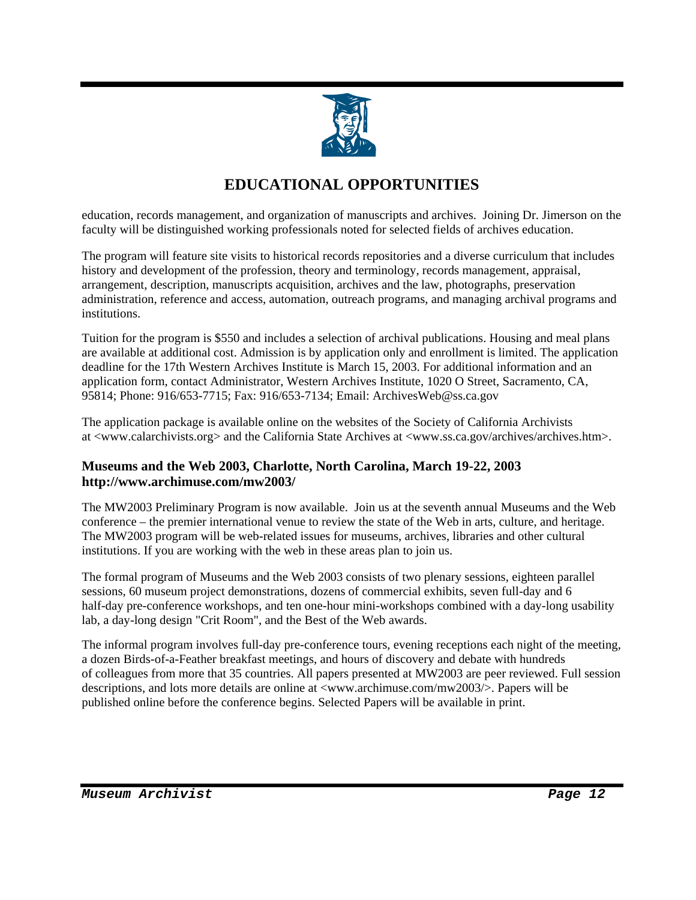

# **EDUCATIONAL OPPORTUNITIES**

education, records management, and organization of manuscripts and archives. Joining Dr. Jimerson on the faculty will be distinguished working professionals noted for selected fields of archives education.

The program will feature site visits to historical records repositories and a diverse curriculum that includes history and development of the profession, theory and terminology, records management, appraisal, arrangement, description, manuscripts acquisition, archives and the law, photographs, preservation administration, reference and access, automation, outreach programs, and managing archival programs and institutions.

Tuition for the program is \$550 and includes a selection of archival publications. Housing and meal plans are available at additional cost. Admission is by application only and enrollment is limited. The application deadline for the 17th Western Archives Institute is March 15, 2003. For additional information and an application form, contact Administrator, Western Archives Institute, 1020 O Street, Sacramento, CA, 95814; Phone: 916/653-7715; Fax: 916/653-7134; Email: ArchivesWeb@ss.ca.gov

The application package is available online on the websites of the Society of California Archivists at <www.calarchivists.org> and the California State Archives at <www.ss.ca.gov/archives/archives.htm>.

#### **Museums and the Web 2003, Charlotte, North Carolina, March 19-22, 2003 http://www.archimuse.com/mw2003/**

The MW2003 Preliminary Program is now available. Join us at the seventh annual Museums and the Web conference – the premier international venue to review the state of the Web in arts, culture, and heritage. The MW2003 program will be web-related issues for museums, archives, libraries and other cultural institutions. If you are working with the web in these areas plan to join us.

The formal program of Museums and the Web 2003 consists of two plenary sessions, eighteen parallel sessions, 60 museum project demonstrations, dozens of commercial exhibits, seven full-day and 6 half-day pre-conference workshops, and ten one-hour mini-workshops combined with a day-long usability lab, a day-long design "Crit Room", and the Best of the Web awards.

The informal program involves full-day pre-conference tours, evening receptions each night of the meeting, a dozen Birds-of-a-Feather breakfast meetings, and hours of discovery and debate with hundreds of colleagues from more that 35 countries. All papers presented at MW2003 are peer reviewed. Full session descriptions, and lots more details are online at <www.archimuse.com/mw2003/>. Papers will be published online before the conference begins. Selected Papers will be available in print.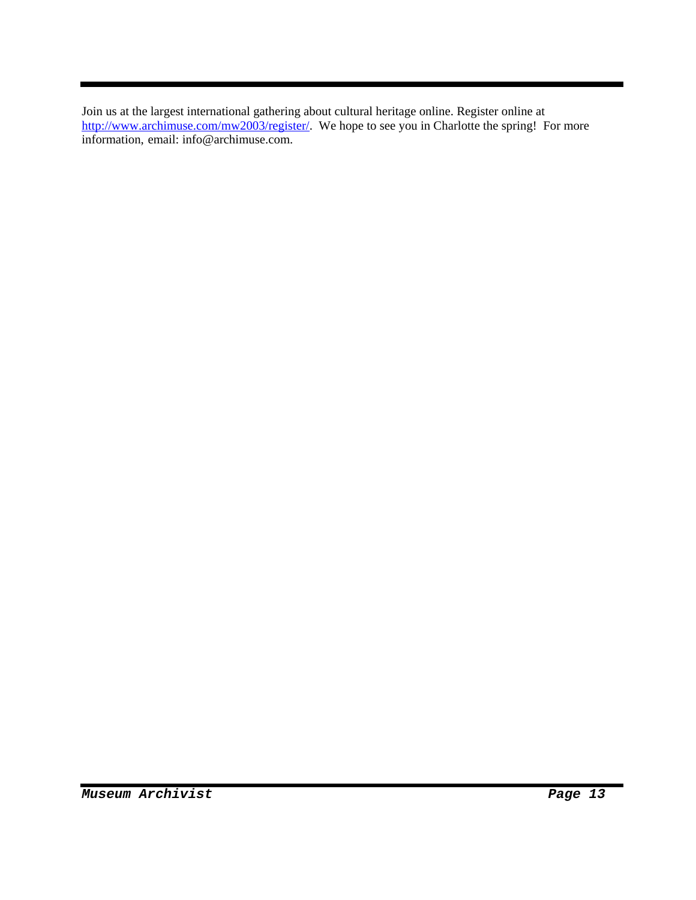Join us at the largest international gathering about cultural heritage online. Register online at http://www.archimuse.com/mw2003/register/. We hope to see you in Charlotte the spring! For more information, email: info@archimuse.com.